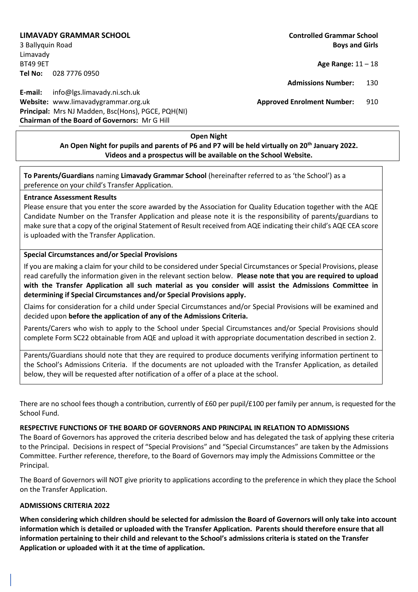## **LIMAVADY GRAMMAR SCHOOL Controlled Grammar School**

Limavady BT49 9ET **Age Range:** 11 – 18 **Tel No:** 028 7776 0950

**E-mail:** info@lgs.limavady.ni.sch.uk **Website:** www.limavadygrammar.org.uk **Approved Enrolment Number:** 910 **Principal:** Mrs NJ Madden, Bsc(Hons), PGCE, PQH(NI) **Chairman of the Board of Governors:** Mr G Hill

3 Ballyquin Road **Boys and Girls**

**Admissions Number:** 130

## **Open Night An Open Night for pupils and parents of P6 and P7 will be held virtually on 20th January 2022. Videos and a prospectus will be available on the School Website.**

**To Parents/Guardians** naming **Limavady Grammar School** (hereinafter referred to as 'the School') as a preference on your child's Transfer Application.

## **Entrance Assessment Results**

Please ensure that you enter the score awarded by the Association for Quality Education together with the AQE Candidate Number on the Transfer Application and please note it is the responsibility of parents/guardians to make sure that a copy of the original Statement of Result received from AQE indicating their child's AQE CEA score is uploaded with the Transfer Application.

## **Special Circumstances and/or Special Provisions**

If you are making a claim for your child to be considered under Special Circumstances or Special Provisions, please read carefully the information given in the relevant section below. **Please note that you are required to upload with the Transfer Application all such material as you consider will assist the Admissions Committee in determining if Special Circumstances and/or Special Provisions apply.**

Claims for consideration for a child under Special Circumstances and/or Special Provisions will be examined and decided upon **before the application of any of the Admissions Criteria.**

Parents/Carers who wish to apply to the School under Special Circumstances and/or Special Provisions should complete Form SC22 obtainable from AQE and upload it with appropriate documentation described in section 2.

Parents/Guardians should note that they are required to produce documents verifying information pertinent to the School's Admissions Criteria. If the documents are not uploaded with the Transfer Application, as detailed below, they will be requested after notification of a offer of a place at the school.

There are no school fees though a contribution, currently of £60 per pupil/£100 per family per annum, is requested for the School Fund.

### **RESPECTIVE FUNCTIONS OF THE BOARD OF GOVERNORS AND PRINCIPAL IN RELATION TO ADMISSIONS**

The Board of Governors has approved the criteria described below and has delegated the task of applying these criteria to the Principal. Decisions in respect of "Special Provisions" and "Special Circumstances" are taken by the Admissions Committee. Further reference, therefore, to the Board of Governors may imply the Admissions Committee or the Principal.

The Board of Governors will NOT give priority to applications according to the preference in which they place the School on the Transfer Application.

### **ADMISSIONS CRITERIA 2022**

**When considering which children should be selected for admission the Board of Governors will only take into account information which is detailed or uploaded with the Transfer Application. Parents should therefore ensure that all information pertaining to their child and relevant to the School's admissions criteria is stated on the Transfer Application or uploaded with it at the time of application.**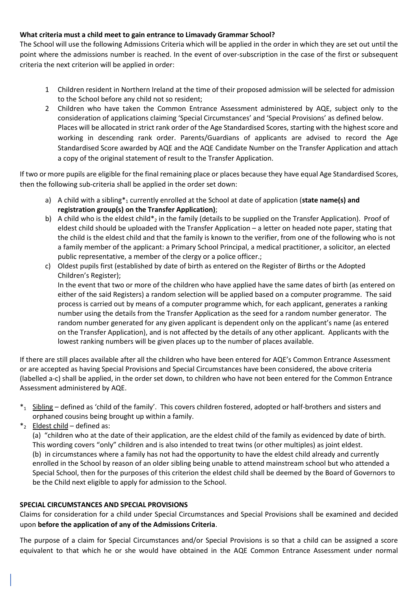## **What criteria must a child meet to gain entrance to Limavady Grammar School?**

The School will use the following Admissions Criteria which will be applied in the order in which they are set out until the point where the admissions number is reached. In the event of over-subscription in the case of the first or subsequent criteria the next criterion will be applied in order:

- 1 Children resident in Northern Ireland at the time of their proposed admission will be selected for admission to the School before any child not so resident;
- 2 Children who have taken the Common Entrance Assessment administered by AQE, subject only to the consideration of applications claiming 'Special Circumstances' and 'Special Provisions' as defined below. Places will be allocated in strict rank order of the Age Standardised Scores, starting with the highest score and working in descending rank order. Parents/Guardians of applicants are advised to record the Age Standardised Score awarded by AQE and the AQE Candidate Number on the Transfer Application and attach a copy of the original statement of result to the Transfer Application.

If two or more pupils are eligible for the final remaining place or places because they have equal Age Standardised Scores, then the following sub-criteria shall be applied in the order set down:

- a) A child with a sibling<sup>\*</sup><sub>1</sub> currently enrolled at the School at date of application (state name(s) and **registration group(s) on the Transfer Application)**;
- b) A child who is the eldest child\*<sub>2</sub> in the family (details to be supplied on the Transfer Application). Proof of eldest child should be uploaded with the Transfer Application – a letter on headed note paper, stating that the child is the eldest child and that the family is known to the verifier, from one of the following who is not a family member of the applicant: a Primary School Principal, a medical practitioner, a solicitor, an elected public representative, a member of the clergy or a police officer.;
- c) Oldest pupils first (established by date of birth as entered on the Register of Births or the Adopted Children's Register);

In the event that two or more of the children who have applied have the same dates of birth (as entered on either of the said Registers) a random selection will be applied based on a computer programme. The said process is carried out by means of a computer programme which, for each applicant, generates a ranking number using the details from the Transfer Application as the seed for a random number generator. The random number generated for any given applicant is dependent only on the applicant's name (as entered on the Transfer Application), and is not affected by the details of any other applicant. Applicants with the lowest ranking numbers will be given places up to the number of places available.

If there are still places available after all the children who have been entered for AQE's Common Entrance Assessment or are accepted as having Special Provisions and Special Circumstances have been considered, the above criteria (labelled a-c) shall be applied, in the order set down, to children who have not been entered for the Common Entrance Assessment administered by AQE.

- $*_1$  Sibling defined as 'child of the family'. This covers children fostered, adopted or half-brothers and sisters and orphaned cousins being brought up within a family.
- $*_2$  Eldest child defined as:

(a) "children who at the date of their application, are the eldest child of the family as evidenced by date of birth. This wording covers "only" children and is also intended to treat twins (or other multiples) as joint eldest. (b) in circumstances where a family has not had the opportunity to have the eldest child already and currently enrolled in the School by reason of an older sibling being unable to attend mainstream school but who attended a Special School, then for the purposes of this criterion the eldest child shall be deemed by the Board of Governors to be the Child next eligible to apply for admission to the School.

## **SPECIAL CIRCUMSTANCES AND SPECIAL PROVISIONS**

Claims for consideration for a child under Special Circumstances and Special Provisions shall be examined and decided upon **before the application of any of the Admissions Criteria**.

The purpose of a claim for Special Circumstances and/or Special Provisions is so that a child can be assigned a score equivalent to that which he or she would have obtained in the AQE Common Entrance Assessment under normal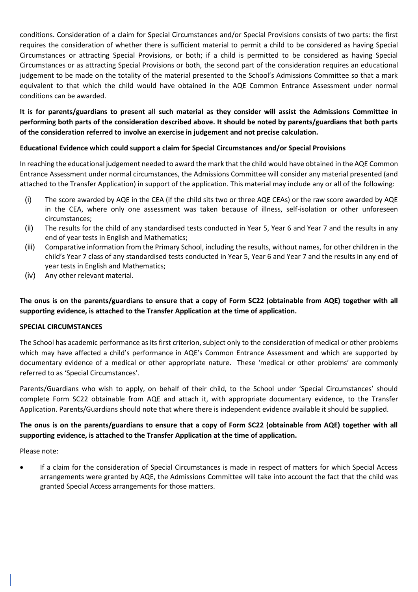conditions. Consideration of a claim for Special Circumstances and/or Special Provisions consists of two parts: the first requires the consideration of whether there is sufficient material to permit a child to be considered as having Special Circumstances or attracting Special Provisions, or both; if a child is permitted to be considered as having Special Circumstances or as attracting Special Provisions or both, the second part of the consideration requires an educational judgement to be made on the totality of the material presented to the School's Admissions Committee so that a mark equivalent to that which the child would have obtained in the AQE Common Entrance Assessment under normal conditions can be awarded.

**It is for parents/guardians to present all such material as they consider will assist the Admissions Committee in performing both parts of the consideration described above. It should be noted by parents/guardians that both parts of the consideration referred to involve an exercise in judgement and not precise calculation.** 

## **Educational Evidence which could support a claim for Special Circumstances and/or Special Provisions**

In reaching the educational judgement needed to award the mark that the child would have obtained in the AQE Common Entrance Assessment under normal circumstances, the Admissions Committee will consider any material presented (and attached to the Transfer Application) in support of the application. This material may include any or all of the following:

- (i) The score awarded by AQE in the CEA (if the child sits two or three AQE CEAs) or the raw score awarded by AQE in the CEA, where only one assessment was taken because of illness, self-isolation or other unforeseen circumstances;
- (ii) The results for the child of any standardised tests conducted in Year 5, Year 6 and Year 7 and the results in any end of year tests in English and Mathematics;
- (iii) Comparative information from the Primary School, including the results, without names, for other children in the child's Year 7 class of any standardised tests conducted in Year 5, Year 6 and Year 7 and the results in any end of year tests in English and Mathematics;
- (iv) Any other relevant material.

**The onus is on the parents/guardians to ensure that a copy of Form SC22 (obtainable from AQE) together with all supporting evidence, is attached to the Transfer Application at the time of application.**

### **SPECIAL CIRCUMSTANCES**

The School has academic performance as its first criterion, subject only to the consideration of medical or other problems which may have affected a child's performance in AQE's Common Entrance Assessment and which are supported by documentary evidence of a medical or other appropriate nature. These 'medical or other problems' are commonly referred to as 'Special Circumstances'.

Parents/Guardians who wish to apply, on behalf of their child, to the School under 'Special Circumstances' should complete Form SC22 obtainable from AQE and attach it, with appropriate documentary evidence, to the Transfer Application. Parents/Guardians should note that where there is independent evidence available it should be supplied.

# **The onus is on the parents/guardians to ensure that a copy of Form SC22 (obtainable from AQE) together with all supporting evidence, is attached to the Transfer Application at the time of application.**

Please note:

• If a claim for the consideration of Special Circumstances is made in respect of matters for which Special Access arrangements were granted by AQE, the Admissions Committee will take into account the fact that the child was granted Special Access arrangements for those matters.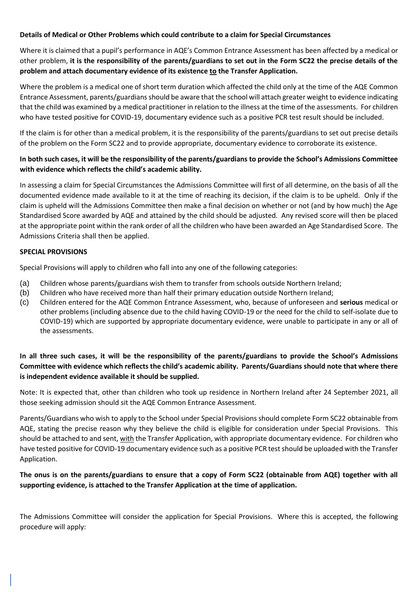# **Details of Medical or Other Problems which could contribute to a claim for Special Circumstances**

Where it is claimed that a pupil's performance in AQE's Common Entrance Assessment has been affected by a medical or other problem, **it is the responsibility of the parents/guardians to set out in the Form SC22 the precise details of the problem and attach documentary evidence of its existence to the Transfer Application.** 

Where the problem is a medical one of short term duration which affected the child only at the time of the AQE Common Entrance Assessment, parents/guardians should be aware that the school will attach greater weight to evidence indicating that the child was examined by a medical practitioner in relation to the illness at the time of the assessments. For children who have tested positive for COVID-19, documentary evidence such as a positive PCR test result should be included.

If the claim is for other than a medical problem, it is the responsibility of the parents/guardians to set out precise details of the problem on the Form SC22 and to provide appropriate, documentary evidence to corroborate its existence.

# **In both such cases, it will be the responsibility of the parents/guardians to provide the School's Admissions Committee with evidence which reflects the child's academic ability.**

In assessing a claim for Special Circumstances the Admissions Committee will first of all determine, on the basis of all the documented evidence made available to it at the time of reaching its decision, if the claim is to be upheld. Only if the claim is upheld will the Admissions Committee then make a final decision on whether or not (and by how much) the Age Standardised Score awarded by AQE and attained by the child should be adjusted. Any revised score will then be placed at the appropriate point within the rank order of all the children who have been awarded an Age Standardised Score. The Admissions Criteria shall then be applied.

## **SPECIAL PROVISIONS**

Special Provisions will apply to children who fall into any one of the following categories:

- (a) Children whose parents/guardians wish them to transfer from schools outside Northern Ireland;
- (b) Children who have received more than half their primary education outside Northern Ireland;
- (c) Children entered for the AQE Common Entrance Assessment, who, because of unforeseen and **serious** medical or other problems (including absence due to the child having COVID-19 or the need for the child to self-isolate due to COVID-19) which are supported by appropriate documentary evidence, were unable to participate in any or all of the assessments.

# **In all three such cases, it will be the responsibility of the parents/guardians to provide the School's Admissions Committee with evidence which reflects the child's academic ability. Parents/Guardians should note that where there is independent evidence available it should be supplied.**

Note: It is expected that, other than children who took up residence in Northern Ireland after 24 September 2021, all those seeking admission should sit the AQE Common Entrance Assessment.

Parents/Guardians who wish to apply to the School under Special Provisions should complete Form SC22 obtainable from AQE, stating the precise reason why they believe the child is eligible for consideration under Special Provisions. This should be attached to and sent, with the Transfer Application, with appropriate documentary evidence. For children who have tested positive for COVID-19 documentary evidence such as a positive PCR test should be uploaded with the Transfer Application.

# **The onus is on the parents/guardians to ensure that a copy of Form SC22 (obtainable from AQE) together with all supporting evidence, is attached to the Transfer Application at the time of application.**

The Admissions Committee will consider the application for Special Provisions. Where this is accepted, the following procedure will apply: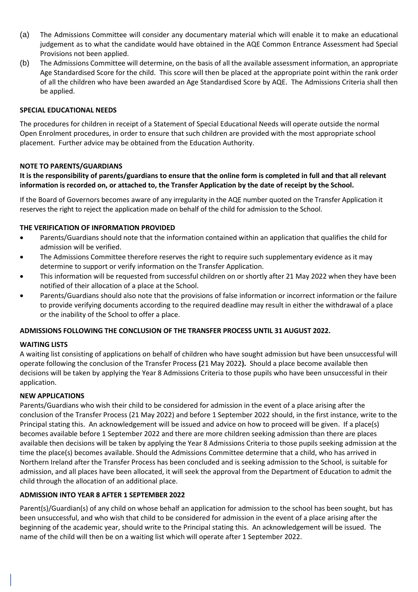- (a) The Admissions Committee will consider any documentary material which will enable it to make an educational judgement as to what the candidate would have obtained in the AQE Common Entrance Assessment had Special Provisions not been applied.
- (b) The Admissions Committee will determine, on the basis of all the available assessment information, an appropriate Age Standardised Score for the child. This score will then be placed at the appropriate point within the rank order of all the children who have been awarded an Age Standardised Score by AQE. The Admissions Criteria shall then be applied.

### **SPECIAL EDUCATIONAL NEEDS**

The procedures for children in receipt of a Statement of Special Educational Needs will operate outside the normal Open Enrolment procedures, in order to ensure that such children are provided with the most appropriate school placement. Further advice may be obtained from the Education Authority.

## **NOTE TO PARENTS/GUARDIANS**

# **It is the responsibility of parents/guardians to ensure that the online form is completed in full and that all relevant information is recorded on, or attached to, the Transfer Application by the date of receipt by the School.**

If the Board of Governors becomes aware of any irregularity in the AQE number quoted on the Transfer Application it reserves the right to reject the application made on behalf of the child for admission to the School.

# **THE VERIFICATION OF INFORMATION PROVIDED**

- Parents/Guardians should note that the information contained within an application that qualifies the child for admission will be verified.
- The Admissions Committee therefore reserves the right to require such supplementary evidence as it may determine to support or verify information on the Transfer Application.
- This information will be requested from successful children on or shortly after 21 May 2022 when they have been notified of their allocation of a place at the School.
- Parents/Guardians should also note that the provisions of false information or incorrect information or the failure to provide verifying documents according to the required deadline may result in either the withdrawal of a place or the inability of the School to offer a place.

### **ADMISSIONS FOLLOWING THE CONCLUSION OF THE TRANSFER PROCESS UNTIL 31 AUGUST 2022.**

### **WAITING LISTS**

A waiting list consisting of applications on behalf of children who have sought admission but have been unsuccessful will operate following the conclusion of the Transfer Process **(**21 May 2022**).** Should a place become available then decisions will be taken by applying the Year 8 Admissions Criteria to those pupils who have been unsuccessful in their application.

### **NEW APPLICATIONS**

Parents/Guardians who wish their child to be considered for admission in the event of a place arising after the conclusion of the Transfer Process (21 May 2022) and before 1 September 2022 should, in the first instance, write to the Principal stating this. An acknowledgement will be issued and advice on how to proceed will be given. If a place(s) becomes available before 1 September 2022 and there are more children seeking admission than there are places available then decisions will be taken by applying the Year 8 Admissions Criteria to those pupils seeking admission at the time the place(s) becomes available. Should the Admissions Committee determine that a child, who has arrived in Northern Ireland after the Transfer Process has been concluded and is seeking admission to the School, is suitable for admission, and all places have been allocated, it will seek the approval from the Department of Education to admit the child through the allocation of an additional place.

## **ADMISSION INTO YEAR 8 AFTER 1 SEPTEMBER 2022**

Parent(s)/Guardian(s) of any child on whose behalf an application for admission to the school has been sought, but has been unsuccessful, and who wish that child to be considered for admission in the event of a place arising after the beginning of the academic year, should write to the Principal stating this. An acknowledgement will be issued. The name of the child will then be on a waiting list which will operate after 1 September 2022.